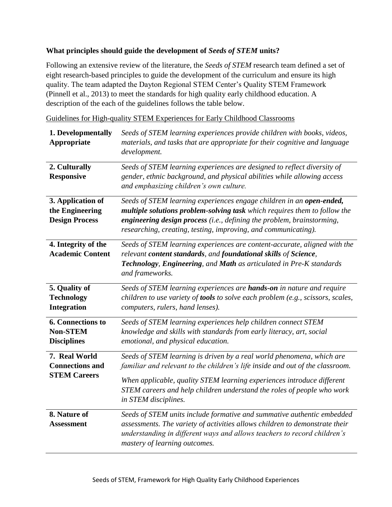## **What principles should guide the development of** *Seeds of STEM* **units?**

Following an extensive review of the literature, the *Seeds of STEM* research team defined a set of eight research-based principles to guide the development of the curriculum and ensure its high quality. The team adapted the Dayton Regional STEM Center's Quality STEM Framework (Pinnell et al., 2013) to meet the standards for high quality early childhood education. A description of the each of the guidelines follows the table below.

Guidelines for High-quality STEM Experiences for Early Childhood Classrooms

| 1. Developmentally<br>Appropriate                                 | Seeds of STEM learning experiences provide children with books, videos,<br>materials, and tasks that are appropriate for their cognitive and language<br>development.                                                                                                                                                              |
|-------------------------------------------------------------------|------------------------------------------------------------------------------------------------------------------------------------------------------------------------------------------------------------------------------------------------------------------------------------------------------------------------------------|
| 2. Culturally<br><b>Responsive</b>                                | Seeds of STEM learning experiences are designed to reflect diversity of<br>gender, ethnic background, and physical abilities while allowing access<br>and emphasizing children's own culture.                                                                                                                                      |
| 3. Application of<br>the Engineering<br><b>Design Process</b>     | Seeds of STEM learning experiences engage children in an open-ended,<br>multiple solutions problem-solving task which requires them to follow the<br>engineering design process (i.e., defining the problem, brainstorming,<br>researching, creating, testing, improving, and communicating).                                      |
| 4. Integrity of the<br><b>Academic Content</b>                    | Seeds of STEM learning experiences are content-accurate, aligned with the<br>relevant content standards, and foundational skills of Science,<br>Technology, Engineering, and Math as articulated in Pre-K standards<br>and frameworks.                                                                                             |
| 5. Quality of<br><b>Technology</b><br><b>Integration</b>          | Seeds of STEM learning experiences are hands-on in nature and require<br>children to use variety of tools to solve each problem (e.g., scissors, scales,<br>computers, rulers, hand lenses).                                                                                                                                       |
| <b>6. Connections to</b><br><b>Non-STEM</b><br><b>Disciplines</b> | Seeds of STEM learning experiences help children connect STEM<br>knowledge and skills with standards from early literacy, art, social<br>emotional, and physical education.                                                                                                                                                        |
| 7. Real World<br><b>Connections and</b><br><b>STEM Careers</b>    | Seeds of STEM learning is driven by a real world phenomena, which are<br>familiar and relevant to the children's life inside and out of the classroom.<br>When applicable, quality STEM learning experiences introduce different<br>STEM careers and help children understand the roles of people who work<br>in STEM disciplines. |
| 8. Nature of<br><b>Assessment</b>                                 | Seeds of STEM units include formative and summative authentic embedded<br>assessments. The variety of activities allows children to demonstrate their<br>understanding in different ways and allows teachers to record children's<br>mastery of learning outcomes.                                                                 |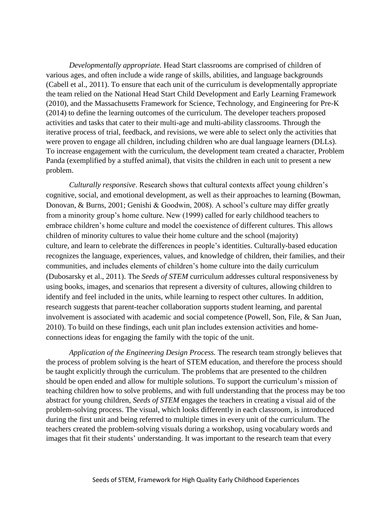*Developmentally appropriate.* Head Start classrooms are comprised of children of various ages, and often include a wide range of skills, abilities, and language backgrounds (Cabell et al., 2011). To ensure that each unit of the curriculum is developmentally appropriate the team relied on the National Head Start Child Development and Early Learning Framework (2010), and the Massachusetts Framework for Science, Technology, and Engineering for Pre-K (2014) to define the learning outcomes of the curriculum. The developer teachers proposed activities and tasks that cater to their multi-age and multi-ability classrooms. Through the iterative process of trial, feedback, and revisions, we were able to select only the activities that were proven to engage all children, including children who are dual language learners (DLLs). To increase engagement with the curriculum, the development team created a character, Problem Panda (exemplified by a stuffed animal), that visits the children in each unit to present a new problem.

*Culturally responsive*. Research shows that cultural contexts affect young children's cognitive, social, and emotional development, as well as their approaches to learning (Bowman, Donovan, & Burns, 2001; Genishi & Goodwin, 2008). A school's culture may differ greatly from a minority group's home culture. New (1999) called for early childhood teachers to embrace children's home culture and model the coexistence of different cultures. This allows children of minority cultures to value their home culture and the school (majority) culture, and learn to celebrate the differences in people's identities. Culturally-based education recognizes the language, experiences, values, and knowledge of children, their families, and their communities, and includes elements of children's home culture into the daily curriculum (Dubosarsky et al., 2011). The *Seeds of STEM* curriculum addresses cultural responsiveness by using books, images, and scenarios that represent a diversity of cultures, allowing children to identify and feel included in the units, while learning to respect other cultures. In addition, research suggests that parent-teacher collaboration supports student learning, and parental involvement is associated with academic and social competence (Powell, Son, File, & San Juan, 2010). To build on these findings, each unit plan includes extension activities and homeconnections ideas for engaging the family with the topic of the unit.

*Application of the Engineering Design Process.* The research team strongly believes that the process of problem solving is the heart of STEM education, and therefore the process should be taught explicitly through the curriculum. The problems that are presented to the children should be open ended and allow for multiple solutions. To support the curriculum's mission of teaching children how to solve problems, and with full understanding that the process may be too abstract for young children, *Seeds of STEM* engages the teachers in creating a visual aid of the problem-solving process. The visual, which looks differently in each classroom, is introduced during the first unit and being referred to multiple times in every unit of the curriculum. The teachers created the problem-solving visuals during a workshop, using vocabulary words and images that fit their students' understanding. It was important to the research team that every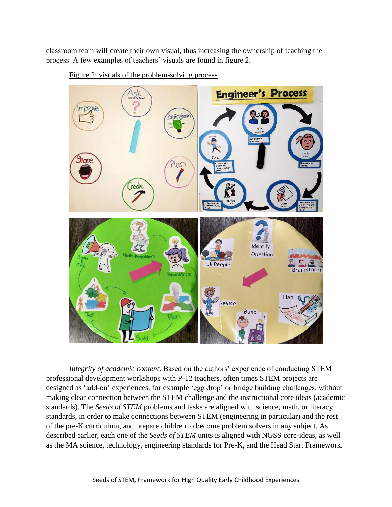classroom team will create their own visual, thus increasing the ownership of teaching the process. A few examples of teachers' visuals are found in figure 2.



Figure 2: visuals of the problem-solving process

*Integrity of academic content.* Based on the authors' experience of conducting STEM professional development workshops with P-12 teachers, often times STEM projects are designed as 'add-on' experiences, for example 'egg drop' or bridge building challenges, without making clear connection between the STEM challenge and the instructional core ideas (academic standards). The *Seeds of STEM* problems and tasks are aligned with science, math, or literacy standards, in order to make connections between STEM (engineering in particular) and the rest of the pre-K curriculum, and prepare children to become problem solvers in any subject. As described earlier, each one of the *Seeds of STEM* units is aligned with NGSS core-ideas, as well as the MA science, technology, engineering standards for Pre-K, and the Head Start Framework.